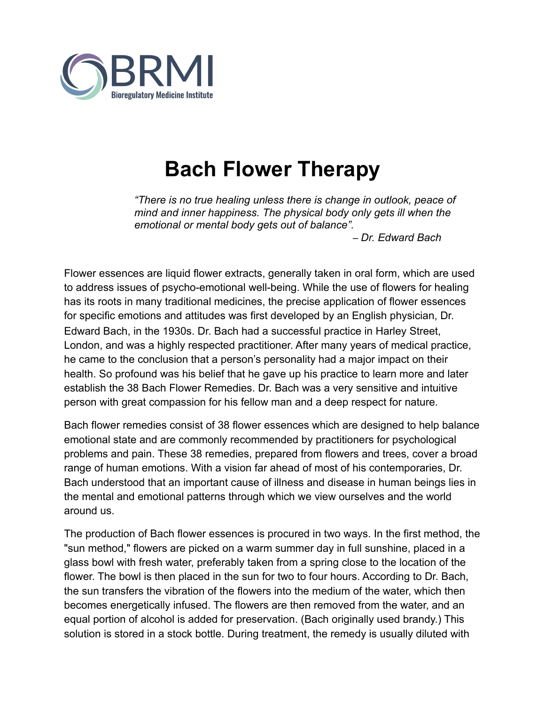

## **Bach Flower Therapy**

*"There is no true healing unless there is change in outlook, peace of mind and inner happiness. The physical body only gets ill when the emotional or mental body gets out of balance".*

 *– Dr. Edward Bach* 

Flower essences are liquid flower extracts, generally taken in oral form, which are used to address issues of psycho-emotional well-being. While the use of flowers for healing has its roots in many traditional medicines, the precise application of flower essences for specific emotions and attitudes was first developed by an English physician, Dr. Edward Bach, in the 1930s. Dr. Bach had a successful practice in Harley Street, London, and was a highly respected practitioner. After many years of medical practice, he came to the conclusion that a person's personality had a major impact on their health. So profound was his belief that he gave up his practice to learn more and later establish the 38 Bach Flower Remedies. Dr. Bach was a very sensitive and intuitive person with great compassion for his fellow man and a deep respect for nature.

Bach flower remedies consist of 38 flower essences which are designed to help balance emotional state and are commonly recommended by practitioners for psychological problems and pain. These 38 remedies, prepared from flowers and trees, cover a broad range of human emotions. With a vision far ahead of most of his contemporaries, Dr. Bach understood that an important cause of illness and disease in human beings lies in the mental and emotional patterns through which we view ourselves and the world around us.

The production of Bach flower essences is procured in two ways. In the first method, the "sun method," flowers are picked on a warm summer day in full sunshine, placed in a glass bowl with fresh water, preferably taken from a spring close to the location of the flower. The bowl is then placed in the sun for two to four hours. According to Dr. Bach, the sun transfers the vibration of the flowers into the medium of the water, which then becomes energetically infused. The flowers are then removed from the water, and an equal portion of alcohol is added for preservation. (Bach originally used brandy.) This solution is stored in a stock bottle. During treatment, the remedy is usually diluted with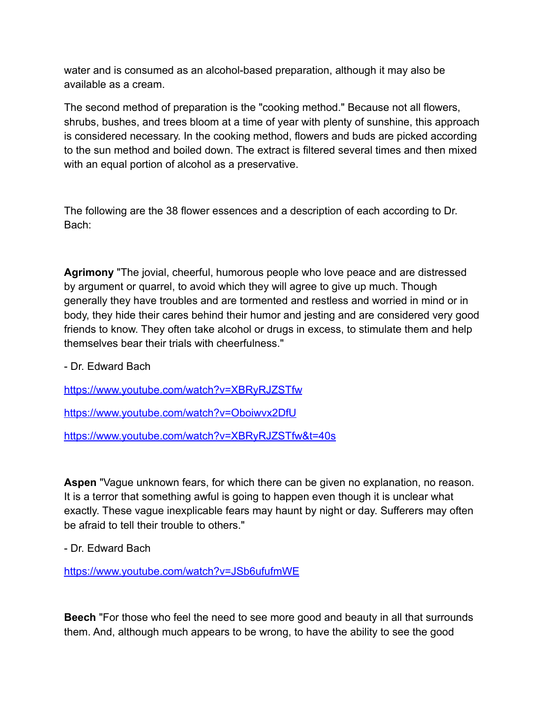water and is consumed as an alcohol-based preparation, although it may also be available as a cream.

The second method of preparation is the "cooking method." Because not all flowers, shrubs, bushes, and trees bloom at a time of year with plenty of sunshine, this approach is considered necessary. In the cooking method, flowers and buds are picked according to the sun method and boiled down. The extract is filtered several times and then mixed with an equal portion of alcohol as a preservative.

The following are the 38 flower essences and a description of each according to Dr. Bach:

**Agrimony** "The jovial, cheerful, humorous people who love peace and are distressed by argument or quarrel, to avoid which they will agree to give up much. Though generally they have troubles and are tormented and restless and worried in mind or in body, they hide their cares behind their humor and jesting and are considered very good friends to know. They often take alcohol or drugs in excess, to stimulate them and help themselves bear their trials with cheerfulness."

- Dr. Edward Bach

<https://www.youtube.com/watch?v=XBRyRJZSTfw>

<https://www.youtube.com/watch?v=Oboiwvx2DfU>

<https://www.youtube.com/watch?v=XBRyRJZSTfw&t=40s>

**Aspen** "Vague unknown fears, for which there can be given no explanation, no reason. It is a terror that something awful is going to happen even though it is unclear what exactly. These vague inexplicable fears may haunt by night or day. Sufferers may often be afraid to tell their trouble to others."

- Dr. Edward Bach

<https://www.youtube.com/watch?v=JSb6ufufmWE>

**Beech** "For those who feel the need to see more good and beauty in all that surrounds them. And, although much appears to be wrong, to have the ability to see the good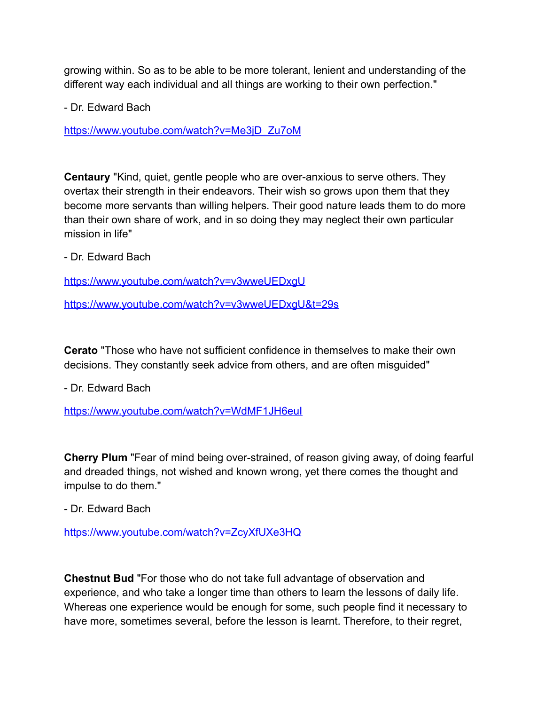growing within. So as to be able to be more tolerant, lenient and understanding of the different way each individual and all things are working to their own perfection."

- Dr. Edward Bach

[https://www.youtube.com/watch?v=Me3jD\\_Zu7oM](https://www.youtube.com/watch?v=Me3jD_Zu7oM)

**Centaury** "Kind, quiet, gentle people who are over-anxious to serve others. They overtax their strength in their endeavors. Their wish so grows upon them that they become more servants than willing helpers. Their good nature leads them to do more than their own share of work, and in so doing they may neglect their own particular mission in life"

- Dr. Edward Bach

<https://www.youtube.com/watch?v=v3wweUEDxgU>

<https://www.youtube.com/watch?v=v3wweUEDxgU&t=29s>

**Cerato** "Those who have not sufficient confidence in themselves to make their own decisions. They constantly seek advice from others, and are often misguided"

- Dr. Edward Bach

<https://www.youtube.com/watch?v=WdMF1JH6euI>

**Cherry Plum** "Fear of mind being over-strained, of reason giving away, of doing fearful and dreaded things, not wished and known wrong, yet there comes the thought and impulse to do them."

- Dr. Edward Bach

<https://www.youtube.com/watch?v=ZcyXfUXe3HQ>

**Chestnut Bud** "For those who do not take full advantage of observation and experience, and who take a longer time than others to learn the lessons of daily life. Whereas one experience would be enough for some, such people find it necessary to have more, sometimes several, before the lesson is learnt. Therefore, to their regret,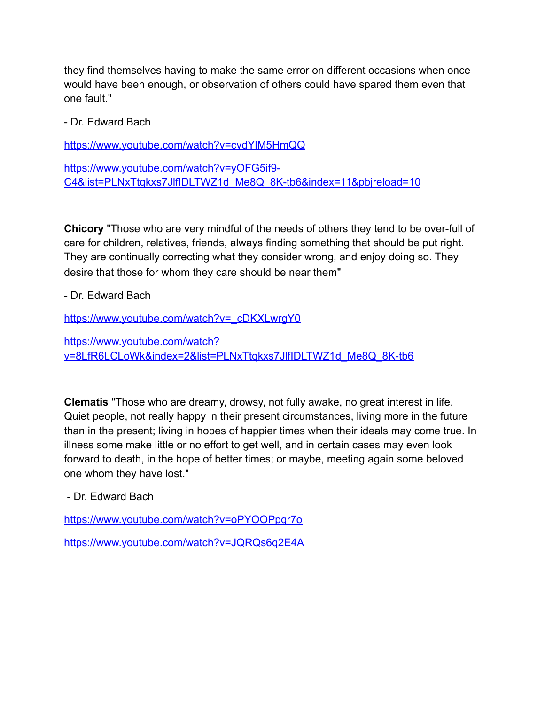they find themselves having to make the same error on different occasions when once would have been enough, or observation of others could have spared them even that one fault."

- Dr. Edward Bach

<https://www.youtube.com/watch?v=cvdYlM5HmQQ>

[https://www.youtube.com/watch?v=yOFG5if9-](https://www.youtube.com/watch?v=yOFG5if9-C4&list=PLNxTtqkxs7JlfIDLTWZ1d_Me8Q_8K-tb6&index=11&pbjreload=10) [C4&list=PLNxTtqkxs7JlfIDLTWZ1d\\_Me8Q\\_8K-tb6&index=11&pbjreload=10](https://www.youtube.com/watch?v=yOFG5if9-C4&list=PLNxTtqkxs7JlfIDLTWZ1d_Me8Q_8K-tb6&index=11&pbjreload=10)

**Chicory** "Those who are very mindful of the needs of others they tend to be over-full of care for children, relatives, friends, always finding something that should be put right. They are continually correcting what they consider wrong, and enjoy doing so. They desire that those for whom they care should be near them"

- Dr. Edward Bach

[https://www.youtube.com/watch?v=\\_cDKXLwrgY0](https://www.youtube.com/watch?v=_cDKXLwrgY0)

[https://www.youtube.com/watch?](https://www.youtube.com/watch?v=8LfR6LCLoWk&index=2&list=PLNxTtqkxs7JlfIDLTWZ1d_Me8Q_8K-tb6) [v=8LfR6LCLoWk&index=2&list=PLNxTtqkxs7JlfIDLTWZ1d\\_Me8Q\\_8K-tb6](https://www.youtube.com/watch?v=8LfR6LCLoWk&index=2&list=PLNxTtqkxs7JlfIDLTWZ1d_Me8Q_8K-tb6)

**Clematis** "Those who are dreamy, drowsy, not fully awake, no great interest in life. Quiet people, not really happy in their present circumstances, living more in the future than in the present; living in hopes of happier times when their ideals may come true. In illness some make little or no effort to get well, and in certain cases may even look forward to death, in the hope of better times; or maybe, meeting again some beloved one whom they have lost."

- Dr. Edward Bach

<https://www.youtube.com/watch?v=oPYOOPpqr7o>

<https://www.youtube.com/watch?v=JQRQs6q2E4A>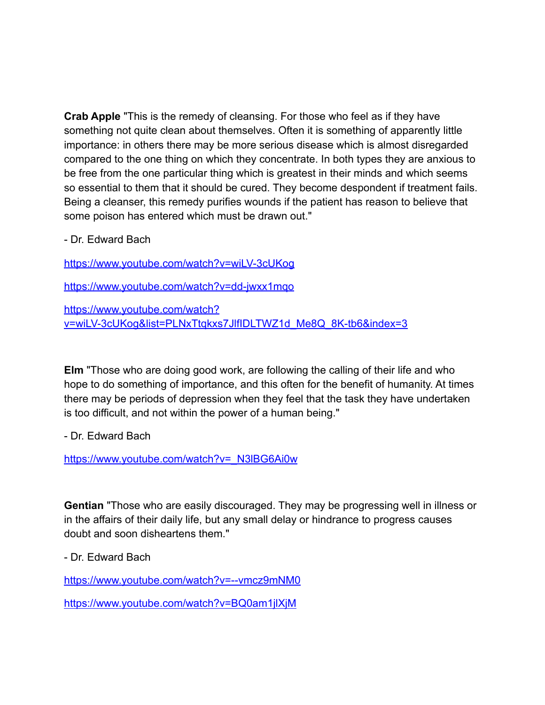**Crab Apple** "This is the remedy of cleansing. For those who feel as if they have something not quite clean about themselves. Often it is something of apparently little importance: in others there may be more serious disease which is almost disregarded compared to the one thing on which they concentrate. In both types they are anxious to be free from the one particular thing which is greatest in their minds and which seems so essential to them that it should be cured. They become despondent if treatment fails. Being a cleanser, this remedy purifies wounds if the patient has reason to believe that some poison has entered which must be drawn out."

- Dr. Edward Bach

<https://www.youtube.com/watch?v=wiLV-3cUKog>

<https://www.youtube.com/watch?v=dd-jwxx1mqo>

[https://www.youtube.com/watch?](https://www.youtube.com/watch?v=wiLV-3cUKog&list=PLNxTtqkxs7JlfIDLTWZ1d_Me8Q_8K-tb6&index=3) [v=wiLV-3cUKog&list=PLNxTtqkxs7JlfIDLTWZ1d\\_Me8Q\\_8K-tb6&index=3](https://www.youtube.com/watch?v=wiLV-3cUKog&list=PLNxTtqkxs7JlfIDLTWZ1d_Me8Q_8K-tb6&index=3)

**Elm** "Those who are doing good work, are following the calling of their life and who hope to do something of importance, and this often for the benefit of humanity. At times there may be periods of depression when they feel that the task they have undertaken is too difficult, and not within the power of a human being."

- Dr. Edward Bach

[https://www.youtube.com/watch?v=\\_N3lBG6Ai0w](https://www.youtube.com/watch?v=_N3lBG6Ai0w)

**Gentian** "Those who are easily discouraged. They may be progressing well in illness or in the affairs of their daily life, but any small delay or hindrance to progress causes doubt and soon disheartens them."

- Dr. Edward Bach

<https://www.youtube.com/watch?v=--vmcz9mNM0>

<https://www.youtube.com/watch?v=BQ0am1jlXjM>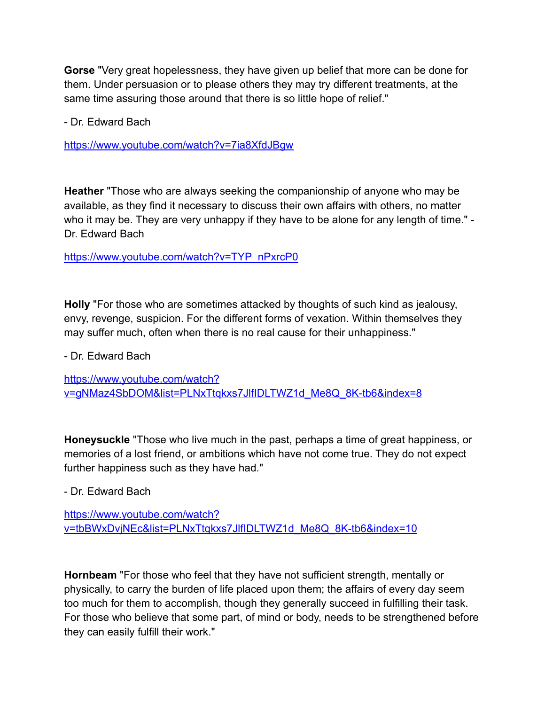**Gorse** "Very great hopelessness, they have given up belief that more can be done for them. Under persuasion or to please others they may try different treatments, at the same time assuring those around that there is so little hope of relief."

- Dr. Edward Bach

<https://www.youtube.com/watch?v=7ia8XfdJBgw>

**Heather** "Those who are always seeking the companionship of anyone who may be available, as they find it necessary to discuss their own affairs with others, no matter who it may be. They are very unhappy if they have to be alone for any length of time." -Dr. Edward Bach

[https://www.youtube.com/watch?v=TYP\\_nPxrcP0](https://www.youtube.com/watch?v=TYP_nPxrcP0)

**Holly** "For those who are sometimes attacked by thoughts of such kind as jealousy, envy, revenge, suspicion. For the different forms of vexation. Within themselves they may suffer much, often when there is no real cause for their unhappiness."

- Dr. Edward Bach

[https://www.youtube.com/watch?](https://www.youtube.com/watch?v=gNMaz4SbDOM&list=PLNxTtqkxs7JlfIDLTWZ1d_Me8Q_8K-tb6&index=8) [v=gNMaz4SbDOM&list=PLNxTtqkxs7JlfIDLTWZ1d\\_Me8Q\\_8K-tb6&index=8](https://www.youtube.com/watch?v=gNMaz4SbDOM&list=PLNxTtqkxs7JlfIDLTWZ1d_Me8Q_8K-tb6&index=8)

**Honeysuckle** "Those who live much in the past, perhaps a time of great happiness, or memories of a lost friend, or ambitions which have not come true. They do not expect further happiness such as they have had."

- Dr. Edward Bach

[https://www.youtube.com/watch?](https://www.youtube.com/watch?v=tbBWxDvjNEc&list=PLNxTtqkxs7JlfIDLTWZ1d_Me8Q_8K-tb6&index=10) [v=tbBWxDvjNEc&list=PLNxTtqkxs7JlfIDLTWZ1d\\_Me8Q\\_8K-tb6&index=10](https://www.youtube.com/watch?v=tbBWxDvjNEc&list=PLNxTtqkxs7JlfIDLTWZ1d_Me8Q_8K-tb6&index=10)

**Hornbeam** "For those who feel that they have not sufficient strength, mentally or physically, to carry the burden of life placed upon them; the affairs of every day seem too much for them to accomplish, though they generally succeed in fulfilling their task. For those who believe that some part, of mind or body, needs to be strengthened before they can easily fulfill their work."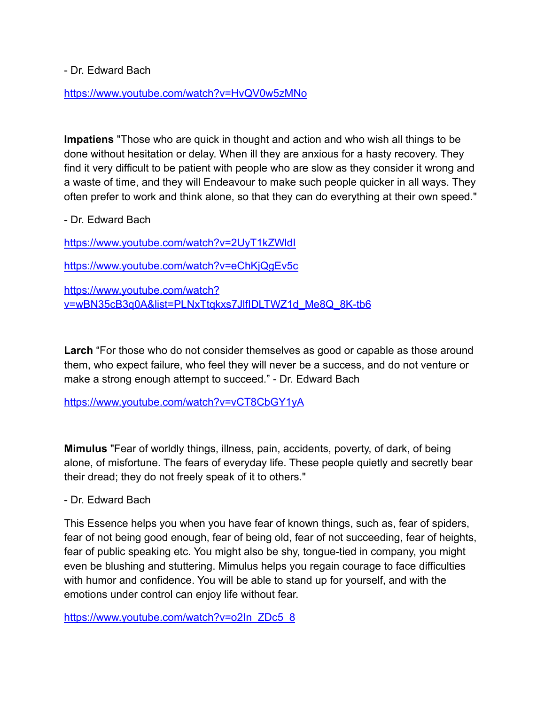- Dr. Edward Bach

<https://www.youtube.com/watch?v=HvQV0w5zMNo>

**Impatiens** "Those who are quick in thought and action and who wish all things to be done without hesitation or delay. When ill they are anxious for a hasty recovery. They find it very difficult to be patient with people who are slow as they consider it wrong and a waste of time, and they will Endeavour to make such people quicker in all ways. They often prefer to work and think alone, so that they can do everything at their own speed."

- Dr. Edward Bach

<https://www.youtube.com/watch?v=2UyT1kZWldI>

<https://www.youtube.com/watch?v=eChKjQgEv5c>

[https://www.youtube.com/watch?](https://www.youtube.com/watch?v=wBN35cB3q0A&list=PLNxTtqkxs7JlfIDLTWZ1d_Me8Q_8K-tb6) [v=wBN35cB3q0A&list=PLNxTtqkxs7JlfIDLTWZ1d\\_Me8Q\\_8K-tb6](https://www.youtube.com/watch?v=wBN35cB3q0A&list=PLNxTtqkxs7JlfIDLTWZ1d_Me8Q_8K-tb6)

**Larch** "For those who do not consider themselves as good or capable as those around them, who expect failure, who feel they will never be a success, and do not venture or make a strong enough attempt to succeed." - Dr. Edward Bach

<https://www.youtube.com/watch?v=vCT8CbGY1yA>

**Mimulus** "Fear of worldly things, illness, pain, accidents, poverty, of dark, of being alone, of misfortune. The fears of everyday life. These people quietly and secretly bear their dread; they do not freely speak of it to others."

- Dr. Edward Bach

This Essence helps you when you have fear of known things, such as, fear of spiders, fear of not being good enough, fear of being old, fear of not succeeding, fear of heights, fear of public speaking etc. You might also be shy, tongue-tied in company, you might even be blushing and stuttering. Mimulus helps you regain courage to face difficulties with humor and confidence. You will be able to stand up for yourself, and with the emotions under control can enjoy life without fear.

[https://www.youtube.com/watch?v=o2In\\_ZDc5\\_8](https://www.youtube.com/watch?v=o2In_ZDc5_8)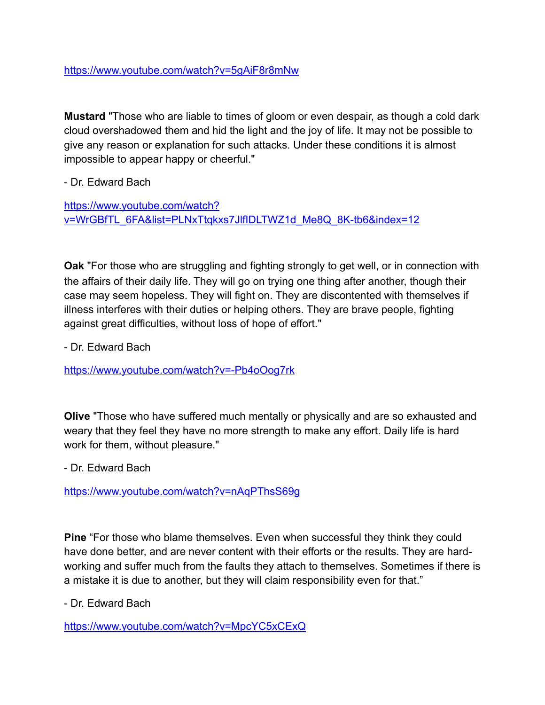<https://www.youtube.com/watch?v=5gAiF8r8mNw>

**Mustard** "Those who are liable to times of gloom or even despair, as though a cold dark cloud overshadowed them and hid the light and the joy of life. It may not be possible to give any reason or explanation for such attacks. Under these conditions it is almost impossible to appear happy or cheerful."

- Dr. Edward Bach

[https://www.youtube.com/watch?](https://www.youtube.com/watch?v=WrGBfTL_6FA&list=PLNxTtqkxs7JlfIDLTWZ1d_Me8Q_8K-tb6&index=12) [v=WrGBfTL\\_6FA&list=PLNxTtqkxs7JlfIDLTWZ1d\\_Me8Q\\_8K-tb6&index=12](https://www.youtube.com/watch?v=WrGBfTL_6FA&list=PLNxTtqkxs7JlfIDLTWZ1d_Me8Q_8K-tb6&index=12)

**Oak** "For those who are struggling and fighting strongly to get well, or in connection with the affairs of their daily life. They will go on trying one thing after another, though their case may seem hopeless. They will fight on. They are discontented with themselves if illness interferes with their duties or helping others. They are brave people, fighting against great difficulties, without loss of hope of effort."

- Dr. Edward Bach

<https://www.youtube.com/watch?v=-Pb4oOog7rk>

**Olive** "Those who have suffered much mentally or physically and are so exhausted and weary that they feel they have no more strength to make any effort. Daily life is hard work for them, without pleasure."

- Dr. Edward Bach

<https://www.youtube.com/watch?v=nAqPThsS69g>

**Pine** "For those who blame themselves. Even when successful they think they could have done better, and are never content with their efforts or the results. They are hardworking and suffer much from the faults they attach to themselves. Sometimes if there is a mistake it is due to another, but they will claim responsibility even for that."

- Dr. Edward Bach

<https://www.youtube.com/watch?v=MpcYC5xCExQ>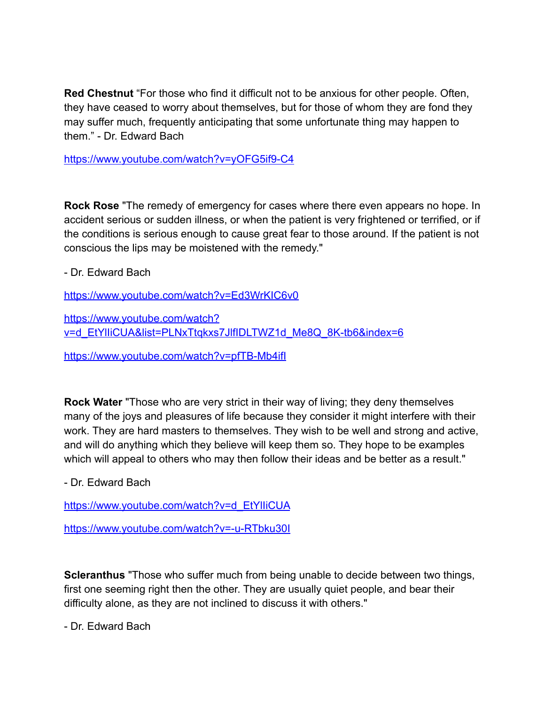**Red Chestnut** "For those who find it difficult not to be anxious for other people. Often, they have ceased to worry about themselves, but for those of whom they are fond they may suffer much, frequently anticipating that some unfortunate thing may happen to them." - Dr. Edward Bach

<https://www.youtube.com/watch?v=yOFG5if9-C4>

**Rock Rose** "The remedy of emergency for cases where there even appears no hope. In accident serious or sudden illness, or when the patient is very frightened or terrified, or if the conditions is serious enough to cause great fear to those around. If the patient is not conscious the lips may be moistened with the remedy."

- Dr. Edward Bach

<https://www.youtube.com/watch?v=Ed3WrKIC6v0>

[https://www.youtube.com/watch?](https://www.youtube.com/watch?v=d_EtYlIiCUA&list=PLNxTtqkxs7JlfIDLTWZ1d_Me8Q_8K-tb6&index=6) v=d\_EtYlliCUA&list=PLNxTtqkxs7JlfIDLTWZ1d\_Me8Q\_8K-tb6&index=6

<https://www.youtube.com/watch?v=pfTB-Mb4ifI>

**Rock Water** "Those who are very strict in their way of living; they deny themselves many of the joys and pleasures of life because they consider it might interfere with their work. They are hard masters to themselves. They wish to be well and strong and active, and will do anything which they believe will keep them so. They hope to be examples which will appeal to others who may then follow their ideas and be better as a result."

- Dr. Edward Bach

https://www.youtube.com/watch?v=d\_EtYlliCUA

<https://www.youtube.com/watch?v=-u-RTbku30I>

**Scleranthus** "Those who suffer much from being unable to decide between two things, first one seeming right then the other. They are usually quiet people, and bear their difficulty alone, as they are not inclined to discuss it with others."

- Dr. Edward Bach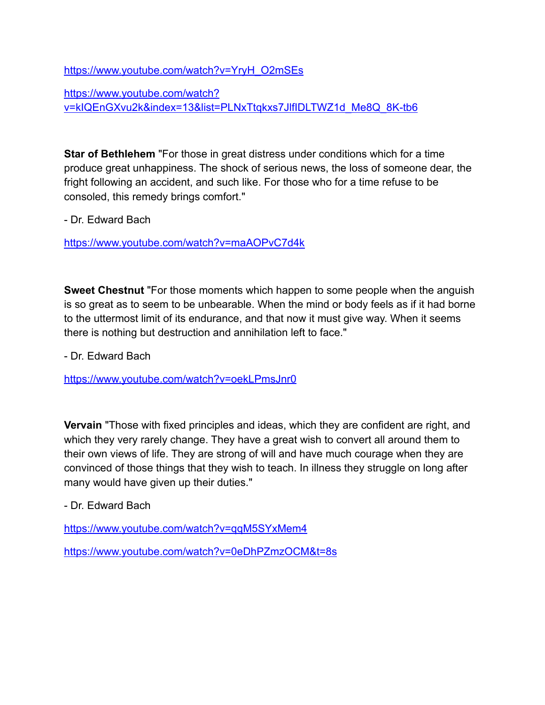[https://www.youtube.com/watch?v=YryH\\_O2mSEs](https://www.youtube.com/watch?v=YryH_O2mSEs)

[https://www.youtube.com/watch?](https://www.youtube.com/watch?v=kIQEnGXvu2k&index=13&list=PLNxTtqkxs7JlfIDLTWZ1d_Me8Q_8K-tb6) [v=kIQEnGXvu2k&index=13&list=PLNxTtqkxs7JlfIDLTWZ1d\\_Me8Q\\_8K-tb6](https://www.youtube.com/watch?v=kIQEnGXvu2k&index=13&list=PLNxTtqkxs7JlfIDLTWZ1d_Me8Q_8K-tb6)

**Star of Bethlehem** "For those in great distress under conditions which for a time produce great unhappiness. The shock of serious news, the loss of someone dear, the fright following an accident, and such like. For those who for a time refuse to be consoled, this remedy brings comfort."

- Dr. Edward Bach

<https://www.youtube.com/watch?v=maAOPvC7d4k>

**Sweet Chestnut** "For those moments which happen to some people when the anguish is so great as to seem to be unbearable. When the mind or body feels as if it had borne to the uttermost limit of its endurance, and that now it must give way. When it seems there is nothing but destruction and annihilation left to face."

- Dr. Edward Bach

<https://www.youtube.com/watch?v=oekLPmsJnr0>

**Vervain** "Those with fixed principles and ideas, which they are confident are right, and which they very rarely change. They have a great wish to convert all around them to their own views of life. They are strong of will and have much courage when they are convinced of those things that they wish to teach. In illness they struggle on long after many would have given up their duties."

- Dr. Edward Bach

<https://www.youtube.com/watch?v=qqM5SYxMem4>

<https://www.youtube.com/watch?v=0eDhPZmzOCM&t=8s>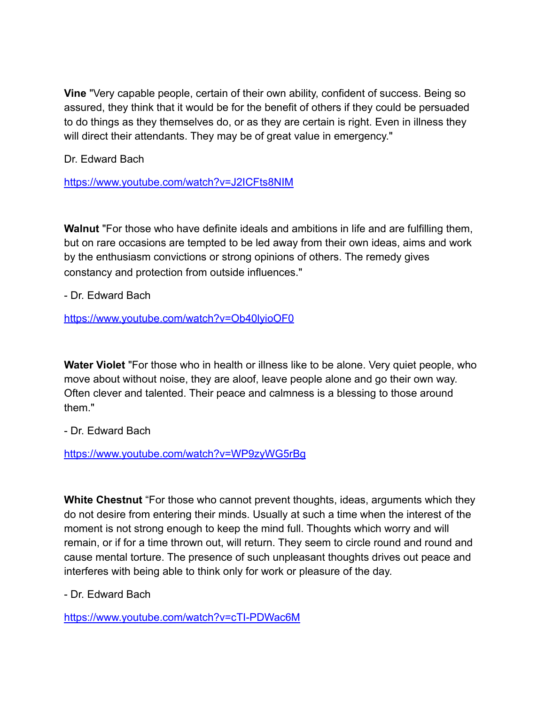**Vine** "Very capable people, certain of their own ability, confident of success. Being so assured, they think that it would be for the benefit of others if they could be persuaded to do things as they themselves do, or as they are certain is right. Even in illness they will direct their attendants. They may be of great value in emergency."

Dr. Edward Bach

<https://www.youtube.com/watch?v=J2ICFts8NIM>

**Walnut** "For those who have definite ideals and ambitions in life and are fulfilling them, but on rare occasions are tempted to be led away from their own ideas, aims and work by the enthusiasm convictions or strong opinions of others. The remedy gives constancy and protection from outside influences."

- Dr. Edward Bach

<https://www.youtube.com/watch?v=Ob40lyioOF0>

**Water Violet** "For those who in health or illness like to be alone. Very quiet people, who move about without noise, they are aloof, leave people alone and go their own way. Often clever and talented. Their peace and calmness is a blessing to those around them."

- Dr. Edward Bach

<https://www.youtube.com/watch?v=WP9zyWG5rBg>

**White Chestnut** "For those who cannot prevent thoughts, ideas, arguments which they do not desire from entering their minds. Usually at such a time when the interest of the moment is not strong enough to keep the mind full. Thoughts which worry and will remain, or if for a time thrown out, will return. They seem to circle round and round and cause mental torture. The presence of such unpleasant thoughts drives out peace and interferes with being able to think only for work or pleasure of the day.

- Dr. Edward Bach

<https://www.youtube.com/watch?v=cTI-PDWac6M>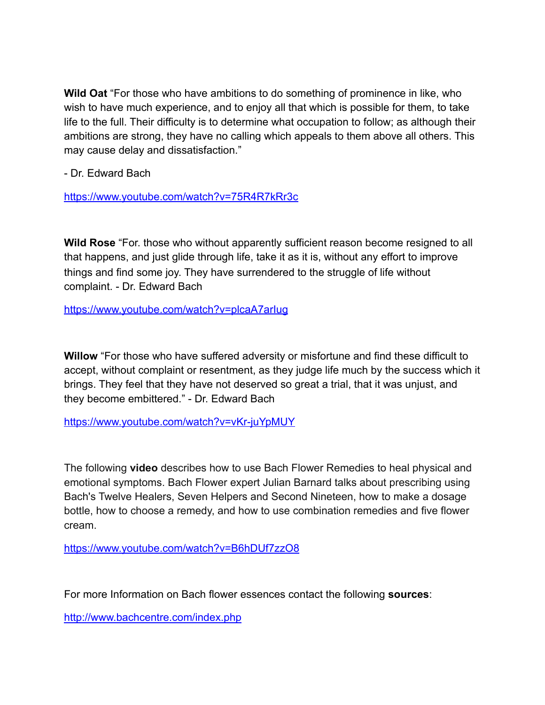**Wild Oat** "For those who have ambitions to do something of prominence in like, who wish to have much experience, and to enjoy all that which is possible for them, to take life to the full. Their difficulty is to determine what occupation to follow; as although their ambitions are strong, they have no calling which appeals to them above all others. This may cause delay and dissatisfaction."

- Dr. Edward Bach

<https://www.youtube.com/watch?v=75R4R7kRr3c>

**Wild Rose** "For. those who without apparently sufficient reason become resigned to all that happens, and just glide through life, take it as it is, without any effort to improve things and find some joy. They have surrendered to the struggle of life without complaint. - Dr. Edward Bach

<https://www.youtube.com/watch?v=plcaA7arIug>

**Willow** "For those who have suffered adversity or misfortune and find these difficult to accept, without complaint or resentment, as they judge life much by the success which it brings. They feel that they have not deserved so great a trial, that it was unjust, and they become embittered." - Dr. Edward Bach

<https://www.youtube.com/watch?v=vKr-juYpMUY>

The following **video** describes how to use Bach Flower Remedies to heal physical and emotional symptoms. Bach Flower expert Julian Barnard talks about prescribing using Bach's Twelve Healers, Seven Helpers and Second Nineteen, how to make a dosage bottle, how to choose a remedy, and how to use combination remedies and five flower cream.

<https://www.youtube.com/watch?v=B6hDUf7zzO8>

For more Information on Bach flower essences contact the following **sources**:

<http://www.bachcentre.com/index.php>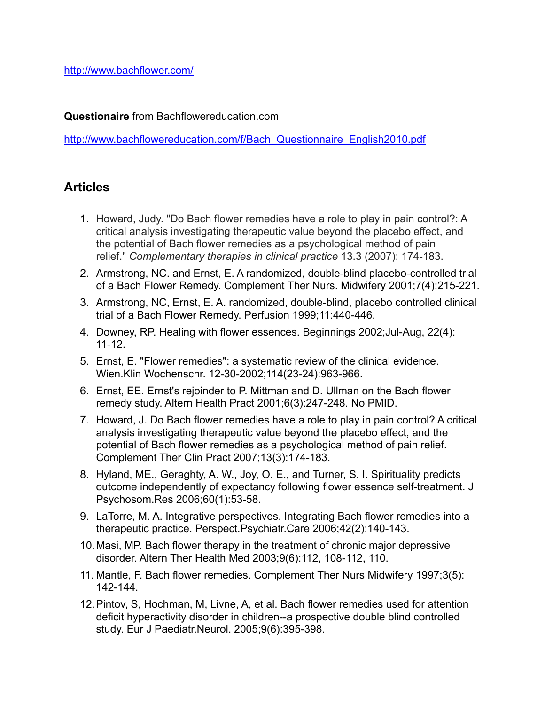<http://www.bachflower.com/>

**Questionaire** from Bachflowereducation.com

[http://www.bachflowereducation.com/f/Bach\\_Questionnaire\\_English2010.pdf](http://www.bachflowereducation.com/f/Bach_Questionnaire_English2010.pdf)

## **Articles**

- 1. Howard, Judy. "Do Bach flower remedies have a role to play in pain control?: A critical analysis investigating therapeutic value beyond the placebo effect, and the potential of Bach flower remedies as a psychological method of pain relief." *Complementary therapies in clinical practice* 13.3 (2007): 174-183.
- 2. Armstrong, NC. and Ernst, E. A randomized, double-blind placebo-controlled trial of a Bach Flower Remedy. Complement Ther Nurs. Midwifery 2001;7(4):215-221.
- 3. Armstrong, NC, Ernst, E. A. randomized, double-blind, placebo controlled clinical trial of a Bach Flower Remedy. Perfusion 1999;11:440-446.
- 4. Downey, RP. Healing with flower essences. Beginnings 2002;Jul-Aug, 22(4): 11-12.
- 5. Ernst, E. "Flower remedies": a systematic review of the clinical evidence. Wien.Klin Wochenschr. 12-30-2002;114(23-24):963-966.
- 6. Ernst, EE. Ernst's rejoinder to P. Mittman and D. Ullman on the Bach flower remedy study. Altern Health Pract 2001;6(3):247-248. No PMID.
- 7. Howard, J. Do Bach flower remedies have a role to play in pain control? A critical analysis investigating therapeutic value beyond the placebo effect, and the potential of Bach flower remedies as a psychological method of pain relief. Complement Ther Clin Pract 2007;13(3):174-183.
- 8. Hyland, ME., Geraghty, A. W., Joy, O. E., and Turner, S. I. Spirituality predicts outcome independently of expectancy following flower essence self-treatment. J Psychosom.Res 2006;60(1):53-58.
- 9. LaTorre, M. A. Integrative perspectives. Integrating Bach flower remedies into a therapeutic practice. Perspect.Psychiatr.Care 2006;42(2):140-143.
- 10.Masi, MP. Bach flower therapy in the treatment of chronic major depressive disorder. Altern Ther Health Med 2003;9(6):112, 108-112, 110.
- 11. Mantle, F. Bach flower remedies. Complement Ther Nurs Midwifery 1997;3(5): 142-144.
- 12.Pintov, S, Hochman, M, Livne, A, et al. Bach flower remedies used for attention deficit hyperactivity disorder in children--a prospective double blind controlled study. Eur J Paediatr.Neurol. 2005;9(6):395-398.